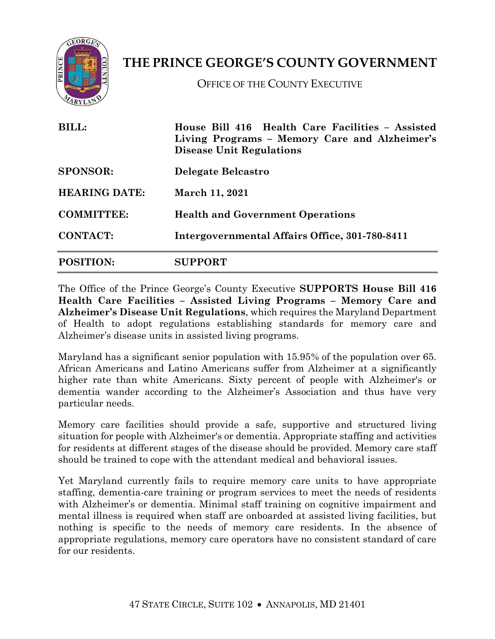

## **THE PRINCE GEORGE'S COUNTY GOVERNMENT**

OFFICE OF THE COUNTY EXECUTIVE

| <b>BILL:</b><br><b>SPONSOR:</b><br><b>HEARING DATE:</b><br><b>COMMITTEE:</b> | House Bill 416 Health Care Facilities - Assisted<br>Living Programs - Memory Care and Alzheimer's<br><b>Disease Unit Regulations</b><br>Delegate Belcastro<br><b>March 11, 2021</b><br><b>Health and Government Operations</b> |                  |                                                |
|------------------------------------------------------------------------------|--------------------------------------------------------------------------------------------------------------------------------------------------------------------------------------------------------------------------------|------------------|------------------------------------------------|
|                                                                              |                                                                                                                                                                                                                                | <b>CONTACT:</b>  | Intergovernmental Affairs Office, 301-780-8411 |
|                                                                              |                                                                                                                                                                                                                                | <b>POSITION:</b> | <b>SUPPORT</b>                                 |

The Office of the Prince George's County Executive **SUPPORTS House Bill 416 Health Care Facilities – Assisted Living Programs – Memory Care and Alzheimer's Disease Unit Regulations**, which requires the Maryland Department of Health to adopt regulations establishing standards for memory care and Alzheimer's disease units in assisted living programs.

Maryland has a significant senior population with 15.95% of the population over 65. African Americans and Latino Americans suffer from Alzheimer at a significantly higher rate than white Americans. Sixty percent of people with Alzheimer's or dementia wander according to the Alzheimer's Association and thus have very particular needs.

Memory care facilities should provide a safe, supportive and structured living situation for people with Alzheimer's or dementia. Appropriate staffing and activities for residents at different stages of the disease should be provided. Memory care staff should be trained to cope with the attendant medical and behavioral issues.

Yet Maryland currently fails to require memory care units to have appropriate staffing, dementia-care training or program services to meet the needs of residents with Alzheimer's or dementia. Minimal staff training on cognitive impairment and mental illness is required when staff are onboarded at assisted living facilities, but nothing is specific to the needs of memory care residents. In the absence of appropriate regulations, memory care operators have no consistent standard of care for our residents.